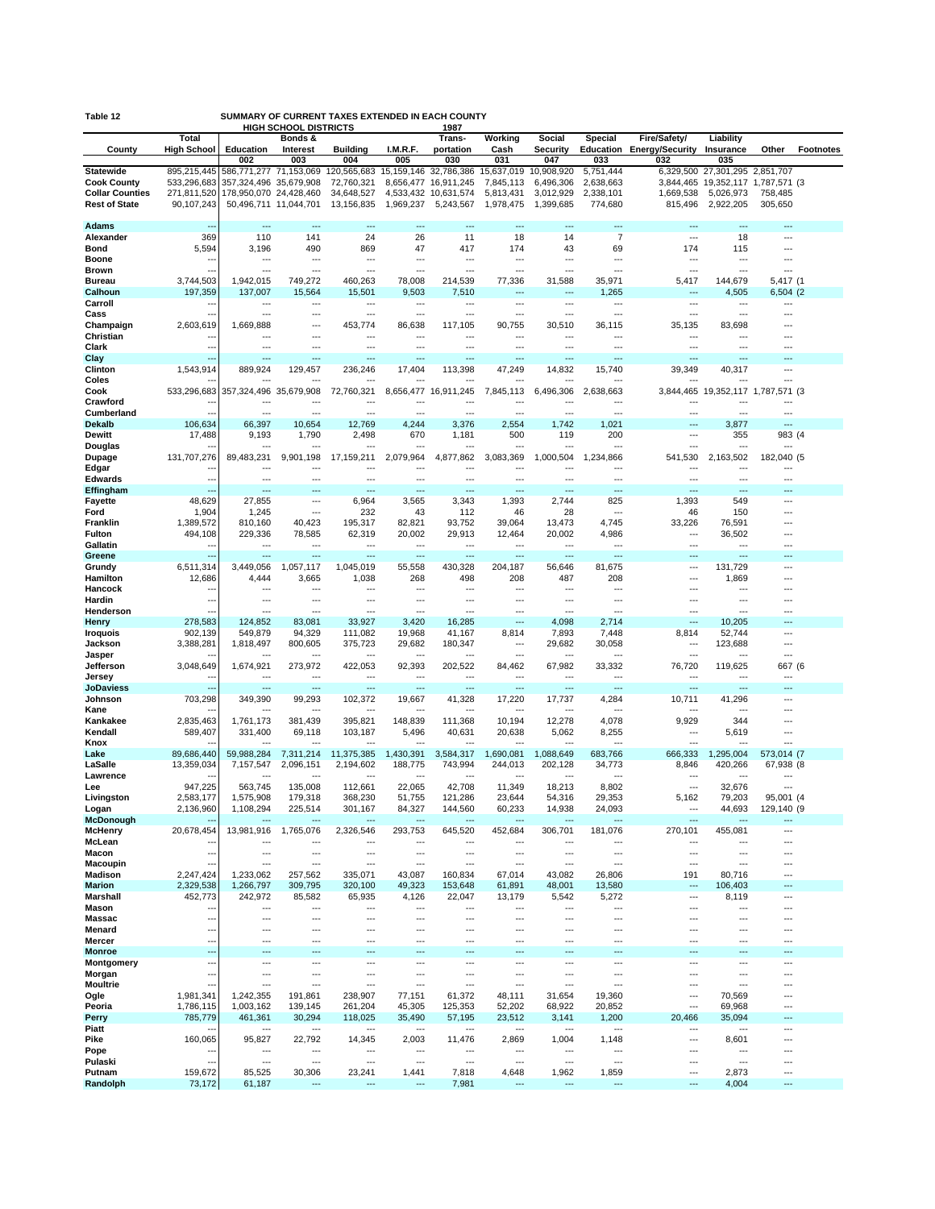| SUMMARY OF CURRENT TAXES EXTENDED IN EACH COUNTY<br>Table 12 |                            |                                                      |                                         |                                                 |                  |                                 |                                            |                                 |                                                      |                        |                                                           |                              |                  |
|--------------------------------------------------------------|----------------------------|------------------------------------------------------|-----------------------------------------|-------------------------------------------------|------------------|---------------------------------|--------------------------------------------|---------------------------------|------------------------------------------------------|------------------------|-----------------------------------------------------------|------------------------------|------------------|
|                                                              | Total                      |                                                      | <b>HIGH SCHOOL DISTRICTS</b><br>Bonds & |                                                 |                  | 1987<br>Trans-                  | Working                                    | Social                          | Special                                              | Fire/Safety/           | Liability                                                 |                              |                  |
| County                                                       | <b>High School</b>         | Education                                            | Interest                                | <b>Building</b>                                 | I.M.R.F.         | portation                       | Cash                                       | <b>Security</b>                 | Education                                            | <b>Energy/Security</b> | Insurance                                                 | Other                        | <b>Footnotes</b> |
|                                                              |                            | 002                                                  | 003                                     | 004                                             | 005              | 030                             | 031                                        | 047                             | 033                                                  | 032                    | 035                                                       |                              |                  |
| <b>Statewide</b><br><b>Cook County</b>                       | 895,215,445<br>533,296,683 | 586,771,277 71,153,069<br>357,324,496                | 35,679,908                              | 120,565,683 15,159,146 32,786,386<br>72,760,321 |                  | 8,656,477 16,911,245            | 15,637,019<br>7,845,113                    | 10,908,920<br>6.496.306         | 5,751,444<br>2,638,663                               | 3.844.465              | 6,329,500 27,301,295 2,851,707<br>19,352,117 1,787,571 (3 |                              |                  |
| <b>Collar Counties</b>                                       | 271,811,520                | 178,950,070 24,428,460                               |                                         | 34,648,527                                      |                  | 4,533,432 10,631,574            | 5,813,431                                  | 3,012,929                       | 2,338,101                                            | 1,669,538              | 5,026,973                                                 | 758,485                      |                  |
| <b>Rest of State</b>                                         | 90,107,243                 | 50,496,711 11,044,701                                |                                         | 13,156,835                                      | 1,969,237        | 5,243,567                       | 1,978,475                                  | 1,399,685                       | 774,680                                              | 815,496                | 2,922,205                                                 | 305,650                      |                  |
| <b>Adams</b>                                                 |                            |                                                      |                                         | ÷÷                                              | ---              |                                 | ---                                        |                                 | ---                                                  |                        | ---                                                       | ---                          |                  |
| Alexander                                                    | 369                        | 110                                                  | 141                                     | 24                                              | 26               | 11                              | 18                                         | 14                              | $\overline{7}$                                       | $\overline{a}$         | 18                                                        | ---                          |                  |
| Bond                                                         | 5,594                      | 3,196                                                | 490                                     | 869                                             | 47               | 417                             | 174                                        | 43                              | 69                                                   | 174                    | 115                                                       | ---                          |                  |
| <b>Boone</b>                                                 | ٠.                         | ---                                                  | ---                                     | ---                                             | ---              | ---                             | ---                                        | ---                             | $\overline{\phantom{a}}$                             | ---                    | ---                                                       | ---                          |                  |
| <b>Brown</b><br><b>Bureau</b>                                | 3.744.503                  | ---<br>1.942.015                                     | ---<br>749,272                          | ---<br>460,263                                  | ---<br>78,008    | ---<br>214.539                  | 77,336                                     | 31,588                          | ---<br>35,971                                        | ---<br>5,417           | ---<br>144,679                                            | 5,417 (1                     |                  |
| <b>Calhoun</b>                                               | 197,359                    | 137,007                                              | 15,564                                  | 15,501                                          | 9,503            | 7,510                           |                                            | ---                             | 1,265                                                |                        | 4,505                                                     | 6,504 (2                     |                  |
| Carroll                                                      | н.                         | $\overline{\phantom{a}}$                             | ---                                     | $\overline{a}$                                  | ---              | $\overline{\phantom{a}}$        | ---                                        | ---                             | $\overline{\phantom{a}}$                             | ---                    | $\overline{\phantom{a}}$                                  | ---                          |                  |
| Cass<br>Champaign                                            | 2,603,619                  | $\overline{a}$<br>1,669,888                          | ---<br>---                              | $\overline{a}$<br>453,774                       | ---<br>86,638    | $\overline{a}$<br>117,105       | ---<br>90,755                              | $\overline{a}$<br>30,510        | $\overline{a}$<br>36,115                             | ---<br>35,135          | ---<br>83,698                                             | ---<br>---                   |                  |
| Christian                                                    |                            |                                                      | ---                                     | ---                                             | ---              | ÷÷                              | ---                                        | $\overline{a}$                  | $\sim$                                               | ÷÷.                    | ---                                                       | ---                          |                  |
| Clark                                                        | --                         | $\sim$                                               | $\overline{a}$                          | $\overline{a}$                                  | ---              | $\sim$                          | $\overline{a}$                             | $\overline{a}$                  | $\overline{a}$                                       | $\overline{a}$         | $\overline{a}$                                            | $\overline{a}$               |                  |
| Clay<br>Clinton                                              | ц.<br>1,543,914            | $\overline{a}$<br>889,924                            | ---<br>129,457                          | ---<br>236,246                                  | ---<br>17,404    | ---<br>113,398                  | ---<br>47,249                              | ---<br>14,832                   | $\overline{a}$<br>15,740                             | ---<br>39,349          | ---<br>40,317                                             | ---<br>---                   |                  |
| Coles                                                        |                            |                                                      |                                         | ---                                             |                  |                                 |                                            |                                 | ---                                                  | -−∙                    |                                                           | ---                          |                  |
| Cook                                                         | 533,296,683                | 357,324,496                                          | 35,679,908                              | 72,760,321                                      | 8,656,477        | 16,911,245                      | 7,845,113                                  | 6,496,306                       | 2,638,663                                            |                        | 3,844,465 19,352,117 1,787,571 (3                         |                              |                  |
| Crawford<br>Cumberland                                       | Ξ.                         | $\overline{\phantom{a}}$                             | ---<br>$\overline{a}$                   | $\overline{a}$                                  | ---              | ---                             | ---                                        | $\overline{a}$                  | $\overline{\phantom{a}}$<br>$\overline{a}$           | ---<br>---             | $\overline{\phantom{a}}$                                  | ---                          |                  |
| <b>Dekalb</b>                                                | 106,634                    | 66,397                                               | 10,654                                  | 12,769                                          | 4,244            | 3,376                           | 2,554                                      | 1,742                           | 1,021                                                | ---                    | 3,877                                                     |                              |                  |
| Dewitt                                                       | 17,488                     | 9,193                                                | 1,790                                   | 2,498                                           | 670              | 1,181                           | 500                                        | 119                             | 200                                                  | ---                    | 355                                                       | 983 (4                       |                  |
| Douglas<br>Dupage                                            | 131,707,276                | 89,483,231                                           | 9,901,198                               | 17,159,211                                      | 2,079,964        | 4,877,862                       | 3,083,369                                  | 1,000,504                       | ÷÷.<br>1,234,866                                     | 541,530                | 2,163,502                                                 | 182,040 (5                   |                  |
| Edgar                                                        | ٠.                         | ---                                                  | ---                                     | ---                                             | ---              | ---                             | ---                                        |                                 | $\sim$                                               |                        | ---                                                       | ---                          |                  |
| <b>Edwards</b>                                               | ٠.                         | ---                                                  | ---                                     | ---                                             | ---              | ---                             | ---                                        | ---                             | $\overline{\phantom{a}}$                             | ---                    | ---                                                       | ---                          |                  |
| Effingham<br>Fayette                                         | 48,629                     | ---<br>27,855                                        | ---<br>---                              | $---$<br>6,964                                  | ---<br>3,565     | ---<br>3,343                    | ---<br>1,393                               | ---<br>2,744                    | ---<br>825                                           | ---<br>1,393           | ---<br>549                                                | ---<br>---                   |                  |
| Ford                                                         | 1,904                      | 1,245                                                | ---                                     | 232                                             | 43               | 112                             | 46                                         | 28                              | $\sim$                                               | 46                     | 150                                                       | $\overline{a}$               |                  |
| Franklin                                                     | 1,389,572                  | 810,160                                              | 40,423                                  | 195,317                                         | 82,821           | 93,752                          | 39,064                                     | 13,473                          | 4,745                                                | 33,226                 | 76,591                                                    | ---                          |                  |
| <b>Fulton</b><br>Gallatin                                    | 494,108<br>н.              | 229,336<br>$\overline{a}$                            | 78,585<br>---                           | 62,319<br>$\overline{a}$                        | 20,002<br>---    | 29,913<br>$\overline{a}$        | 12,464<br>---                              | 20,002<br>$\overline{a}$        | 4,986<br>$\overline{a}$                              | ---<br>---             | 36,502<br>$\overline{a}$                                  | $\overline{a}$<br>---        |                  |
| Greene                                                       |                            |                                                      |                                         | ÷÷                                              | ---              |                                 | ---                                        | ÷-                              |                                                      |                        |                                                           |                              |                  |
| Grundy                                                       | 6,511,314                  | 3,449,056                                            | 1,057,117                               | 1,045,019                                       | 55,558           | 430,328                         | 204,187                                    | 56,646                          | 81,675                                               | ---                    | 131,729                                                   | ---                          |                  |
| Hamilton<br>Hancock                                          | 12,686<br>٠.               | 4,444<br>---                                         | 3,665<br>---                            | 1,038<br>$\overline{a}$                         | 268<br>---       | 498<br>---                      | 208<br>---                                 | 487<br>---                      | 208<br>$\overline{a}$                                | ---<br>---             | 1,869<br>---                                              | ---<br>---                   |                  |
| Hardin                                                       | ٠.                         | ---                                                  | ---                                     | ---                                             | --∙              | ---                             | ---                                        | ---                             | ---                                                  | ---                    | ---                                                       |                              |                  |
| Henderson                                                    |                            | $\overline{a}$                                       | ---                                     | ---                                             | ---              |                                 | ---                                        | ÷÷                              | ÷÷.                                                  |                        | ---                                                       |                              |                  |
| Henry<br>Iroquois                                            | 278,583<br>902,139         | 124,852<br>549,879                                   | 83,081<br>94,329                        | 33,927<br>111,082                               | 3,420<br>19,968  | 16,285<br>41,167                | ---<br>8,814                               | 4,098<br>7,893                  | 2,714<br>7,448                                       | ---<br>8,814           | 10,205<br>52,744                                          | ---                          |                  |
| Jackson                                                      | 3,388,281                  | 1,818,497                                            | 800,605                                 | 375,723                                         | 29,682           | 180,347                         | ---                                        | 29,682                          | 30,058                                               | ---                    | 123,688                                                   | ---                          |                  |
| Jasper<br>Jefferson                                          | 3,048,649                  |                                                      | 273,972                                 | 422,053                                         | 92,393           | 202,522                         | ---<br>84,462                              | 67,982                          | ---<br>33,332                                        | ---<br>76,720          | 119,625                                                   |                              |                  |
| Jersey                                                       |                            | 1,674,921<br>$\overline{\phantom{a}}$                | ---                                     | $\overline{a}$                                  | ---              | ---                             | ---                                        | ---                             | $\overline{\phantom{a}}$                             | ---                    | $\overline{a}$                                            | 667 (6<br>---                |                  |
| <b>JoDaviess</b>                                             | ц.                         | $---$                                                | ---                                     | $---$                                           | ---              | $\overline{a}$                  | ---                                        | $\overline{a}$                  | $\overline{a}$                                       | ---                    | ---                                                       | ---                          |                  |
| Johnson<br>Kane                                              | 703,298                    | 349,390<br>---                                       | 99,293<br>---                           | 102,372<br>$\overline{a}$                       | 19,667<br>---    | 41,328<br>---                   | 17,220<br>---                              | 17,737<br>$\overline{a}$        | 4,284<br>$\overline{a}$                              | 10,711<br>---          | 41,296<br>…                                               | ---<br>---                   |                  |
| Kankakee                                                     | 2,835,463                  | 1,761,173                                            | 381.439                                 | 395.821                                         | 148,839          | 111,368                         | 10,194                                     | 12,278                          | 4,078                                                | 9,929                  | 344                                                       | ---                          |                  |
| Kendall                                                      | 589,407                    | 331,400                                              | 69,118                                  | 103,187                                         | 5,496            | 40,631                          | 20,638                                     | 5,062                           | 8,255                                                | ---                    | 5,619                                                     | ---                          |                  |
| Knox<br>Lake                                                 | 89,686,440                 | 59,988,284                                           | ---<br>7,311,214                        | $---$<br>11,375,385                             | ---<br>1,430,391 | $\overline{a}$<br>3,584,317     | $---$<br>,690,081                          | $\overline{a}$<br>1,088,649     | $\overline{\phantom{a}}$<br>683,766                  | $---$<br>666,333       | $\overline{a}$<br>1,295,004                               | $\overline{a}$<br>573,014 (7 |                  |
| LaSalle                                                      | 13,359,034                 | 7,157,547                                            | 2,096,151                               | 2,194,602                                       | 188,775          | 743,994                         | 244,013                                    | 202.128                         | 34,773                                               | 8,846                  | 420,266                                                   | 67,938 (8                    |                  |
| Lawrence                                                     |                            |                                                      |                                         |                                                 |                  |                                 |                                            |                                 |                                                      |                        |                                                           |                              |                  |
| Lee<br>Livingston                                            | 947,225<br>2,583,177       | 563,745<br>1,575,908                                 | 135,008<br>179,318                      | 112.661<br>368,230                              | 22,065<br>51,755 | 42,708<br>121,286               | 11,349<br>23,644                           | 18,213<br>54,316                | 8,802<br>29,353                                      | 5,162                  | 32,676<br>79,203                                          | 95,001 (4                    |                  |
| Logan                                                        | 2,136,960                  | 1,108,294                                            | 225,514                                 | 301,167                                         | 84,327           | 144,560                         | 60,233                                     | 14,938                          | 24,093                                               | ---                    | 44,693                                                    | 129,140 (9                   |                  |
| <b>McDonough</b>                                             |                            | ---                                                  |                                         | ---                                             | ---              | ---                             |                                            | ---                             | ---                                                  | ---                    | ---                                                       | ---<br>---                   |                  |
| <b>McHenry</b><br>McLean                                     | 20,678,454                 | 13,981,916                                           | 1,765,076<br>---                        | 2,326,546<br>---                                | 293,753<br>---   | 645,520<br>---                  | 452,684<br>---                             | 306,701                         | 181,076<br>---                                       | 270,101<br>---         | 455,081<br>---                                            | ---                          |                  |
| Macon                                                        | $\overline{a}$             | $\overline{a}$                                       | $\overline{a}$                          | $\overline{a}$                                  | $\overline{a}$   | $\overline{a}$                  | $\overline{a}$                             | $\overline{a}$                  | $\overline{a}$                                       | $\overline{a}$         | $\overline{\phantom{a}}$                                  | ---                          |                  |
| Macoupin<br><b>Madison</b>                                   | --                         | $\overline{a}$                                       | ---                                     | $---$                                           | ---              | $\overline{a}$                  | $\overline{a}$                             | $\overline{a}$                  | $\overline{a}$                                       | ---                    | $\overline{a}$                                            | ---<br>---                   |                  |
| <b>Marion</b>                                                | 2,247,424<br>2,329,538     | 1,233,062<br>1,266,797                               | 257,562<br>309,795                      | 335,071<br>320,100                              | 43,087<br>49,323 | 160,834<br>153,648              | 67,014<br>61,891                           | 43,082<br>48,001                | 26,806<br>13,580                                     | 191<br>÷÷.             | 80,716<br>106,403                                         | ---                          |                  |
| Marshall                                                     | 452,773                    | 242,972                                              | 85,582                                  | 65,935                                          | 4,126            | 22,047                          | 13,179                                     | 5,542                           | 5,272                                                | ---                    | 8,119                                                     | ---                          |                  |
| Mason                                                        | --                         | $\overline{\phantom{a}}$                             | ---<br>---                              | $---$                                           | ---<br>---       | $\overline{\phantom{a}}$        | ---                                        | ---                             | $\overline{\phantom{a}}$                             | ---                    | ---                                                       | ---                          |                  |
| <b>Massac</b><br>Menard                                      | --<br>--                   | $\overline{\phantom{a}}$<br>---                      | ---                                     | $---$<br>$\cdots$                               | ---              | $\overline{\phantom{a}}$<br>--- | ---<br>---                                 | ---<br>---                      | $\overline{\phantom{a}}$<br>---                      | ---<br>---             | ---<br>---                                                | ---<br>---                   |                  |
| Mercer                                                       | Ξ.                         | ---                                                  | ---                                     | ---                                             |                  | ---                             | ---                                        | ---                             | ---                                                  | …                      | ---                                                       | ---                          |                  |
| <b>Monroe</b>                                                |                            | ---                                                  | ---                                     | ---                                             | ---              | ---                             | ---                                        | ---                             | ---                                                  | ---                    | ---                                                       | ---                          |                  |
| Montgomery<br>Morgan                                         | --<br>--                   | $\overline{\phantom{a}}$<br>$\overline{\phantom{a}}$ | ---<br>---                              | $---$<br>---                                    | ---<br>---       | $\overline{\phantom{a}}$<br>--- | $\overline{\phantom{a}}$<br>$\overline{a}$ | $\overline{\phantom{a}}$<br>--- | $\overline{\phantom{a}}$<br>$\overline{\phantom{a}}$ | ---<br>---             | ---<br>---                                                | ---<br>---                   |                  |
| <b>Moultrie</b>                                              | ۰.                         | ---                                                  | ---                                     | ---                                             | ---              | ---                             | ---                                        | ---                             | ---                                                  | ---                    | ---                                                       | ---                          |                  |
| Ogle                                                         | 1,981,341                  | 1,242,355                                            | 191,861                                 | 238,907                                         | 77,151           | 61,372                          | 48,111                                     | 31,654                          | 19,360                                               | ---<br>---             | 70,569                                                    | ---<br>---                   |                  |
| Peoria<br>Perry                                              | 1,786,115<br>785,779       | 1,003,162<br>461,361                                 | 139,145<br>30,294                       | 261,204<br>118,025                              | 45,305<br>35,490 | 125,353<br>57,195               | 52,202<br>23,512                           | 68,922<br>3,141                 | 20,852<br>1,200                                      | 20,466                 | 69,968<br>35,094                                          | ---                          |                  |
| Piatt                                                        |                            | $\overline{\phantom{a}}$                             | ---                                     | $---$                                           | ---              | $\overline{\phantom{a}}$        | ---                                        | ---                             | $\overline{a}$                                       | ---                    | ---                                                       | ---                          |                  |
| Pike<br>Pope                                                 | 160,065<br>Ξ.              | 95,827<br>$\overline{a}$                             | 22,792<br>---                           | 14,345<br>---                                   | 2,003<br>---     | 11,476<br>---                   | 2,869<br>---                               | 1,004<br>$\overline{a}$         | 1,148<br>$\overline{a}$                              | ---<br>---             | 8,601<br>---                                              | ---<br>---                   |                  |
| Pulaski                                                      | --                         | $\overline{\phantom{a}}$                             | ---                                     | ---                                             | ---              | ---                             | ---                                        | ---                             | $\overline{\phantom{a}}$                             | ---                    | ---                                                       | ---                          |                  |
| Putnam                                                       | 159,672                    | 85,525                                               | 30,306                                  | 23,241                                          | 1,441            | 7,818                           | 4,648                                      | 1,962                           | 1,859                                                | ---                    | 2,873                                                     | ---                          |                  |
| Randolph                                                     | 73,172                     | 61,187                                               | ---                                     | ---                                             | ---              | 7,981                           | ---                                        | ---                             | $\overline{\phantom{a}}$                             | ---                    | 4,004                                                     | ---                          |                  |